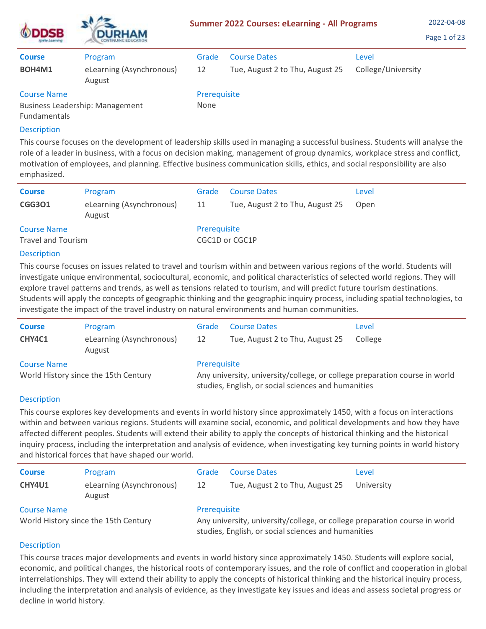| SВ                                                            | <b>DURHAM</b>                      | <b>Summer 2022 Courses: eLearning - All Programs</b> | 2022-04-08<br>Page 1 of 23      |                    |  |
|---------------------------------------------------------------|------------------------------------|------------------------------------------------------|---------------------------------|--------------------|--|
| <b>Course</b>                                                 | Program                            | Grade                                                | <b>Course Dates</b>             | Level              |  |
| BOH4M1                                                        | eLearning (Asynchronous)<br>August | 12                                                   | Tue, August 2 to Thu, August 25 | College/University |  |
| <b>Course Name</b>                                            |                                    | Prerequisite                                         |                                 |                    |  |
| <b>Business Leadership: Management</b><br><b>Fundamentals</b> |                                    | None                                                 |                                 |                    |  |

This course focuses on the development of leadership skills used in managing a successful business. Students will analyse the role of a leader in business, with a focus on decision making, management of group dynamics, workplace stress and conflict, motivation of employees, and planning. Effective business communication skills, ethics, and social responsibility are also emphasized.

| <b>Course</b><br><b>CGG301</b>           | Program<br>eLearning (Asynchronous)<br>August | Grade<br>11  | <b>Course Dates</b><br>Tue, August 2 to Thu, August 25 | Level<br>Open |
|------------------------------------------|-----------------------------------------------|--------------|--------------------------------------------------------|---------------|
| <b>Course Name</b><br>Travel and Tourism |                                               | Prerequisite | CGC1D or CGC1P                                         |               |

## Description

This course focuses on issues related to travel and tourism within and between various regions of the world. Students will investigate unique environmental, sociocultural, economic, and political characteristics of selected world regions. They will explore travel patterns and trends, as well as tensions related to tourism, and will predict future tourism destinations. Students will apply the concepts of geographic thinking and the geographic inquiry process, including spatial technologies, to investigate the impact of the travel industry on natural environments and human communities.

| <b>Course</b>                                              | Program                            | Grade                                                                                                                                             | <b>Course Dates</b>             | Level   |  |
|------------------------------------------------------------|------------------------------------|---------------------------------------------------------------------------------------------------------------------------------------------------|---------------------------------|---------|--|
| CHY4C1                                                     | eLearning (Asynchronous)<br>August | 12                                                                                                                                                | Tue, August 2 to Thu, August 25 | College |  |
| <b>Course Name</b><br>World History since the 15th Century |                                    | Prerequisite<br>Any university, university/college, or college preparation course in world<br>studies, English, or social sciences and humanities |                                 |         |  |

## Description

This course explores key developments and events in world history since approximately 1450, with a focus on interactions within and between various regions. Students will examine social, economic, and political developments and how they have affected different peoples. Students will extend their ability to apply the concepts of historical thinking and the historical inquiry process, including the interpretation and analysis of evidence, when investigating key turning points in world history and historical forces that have shaped our world.

| <b>Course</b><br><b>CHY4U1</b>                             | Program<br>eLearning (Asynchronous)<br>August | Grade<br>12                                                                                                                                       | <b>Course Dates</b><br>Tue, August 2 to Thu, August 25 | Level<br>University |  |
|------------------------------------------------------------|-----------------------------------------------|---------------------------------------------------------------------------------------------------------------------------------------------------|--------------------------------------------------------|---------------------|--|
| <b>Course Name</b><br>World History since the 15th Century |                                               | Prerequisite<br>Any university, university/college, or college preparation course in world<br>studies, English, or social sciences and humanities |                                                        |                     |  |

## Description

This course traces major developments and events in world history since approximately 1450. Students will explore social, economic, and political changes, the historical roots of contemporary issues, and the role of conflict and cooperation in global interrelationships. They will extend their ability to apply the concepts of historical thinking and the historical inquiry process, including the interpretation and analysis of evidence, as they investigate key issues and ideas and assess societal progress or decline in world history.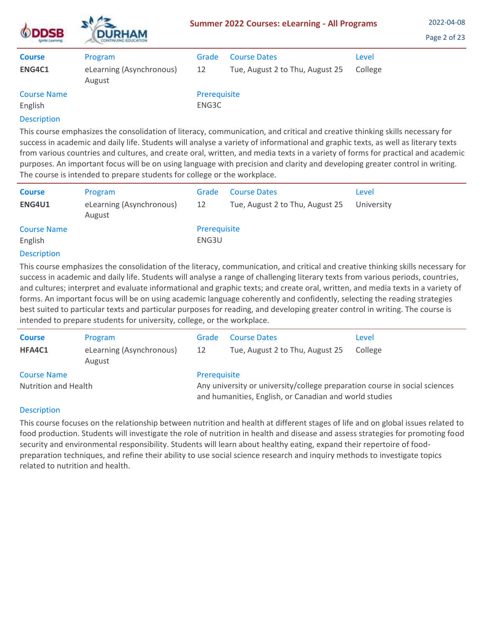| <b>ODDSB</b><br>Ignite Learning | <b>DURHAM</b><br><b>CONTINUING EDUCATION</b> | <b>Summer 2022 Courses: eLearning - All Programs</b> | 2022-04-08<br>Page 2 of 23      |         |  |
|---------------------------------|----------------------------------------------|------------------------------------------------------|---------------------------------|---------|--|
| <b>Course</b>                   | Program                                      | Grade                                                | <b>Course Dates</b>             | Level   |  |
| ENG4C1                          | eLearning (Asynchronous)<br>August           | 12                                                   | Tue, August 2 to Thu, August 25 | College |  |
| <b>Course Name</b><br>English   |                                              | Prerequisite<br>ENG3C                                |                                 |         |  |
|                                 |                                              |                                                      |                                 |         |  |

This course emphasizes the consolidation of literacy, communication, and critical and creative thinking skills necessary for success in academic and daily life. Students will analyse a variety of informational and graphic texts, as well as literary texts from various countries and cultures, and create oral, written, and media texts in a variety of forms for practical and academic purposes. An important focus will be on using language with precision and clarity and developing greater control in writing. The course is intended to prepare students for college or the workplace.

| <b>Course</b>                 | Program                            | Grade                 | <b>Course Dates</b>             | Level      |
|-------------------------------|------------------------------------|-----------------------|---------------------------------|------------|
| ENG4U1                        | eLearning (Asynchronous)<br>August | 12                    | Tue, August 2 to Thu, August 25 | University |
| <b>Course Name</b><br>English |                                    | Prerequisite<br>ENG3U |                                 |            |

## Description

This course emphasizes the consolidation of the literacy, communication, and critical and creative thinking skills necessary for success in academic and daily life. Students will analyse a range of challenging literary texts from various periods, countries, and cultures; interpret and evaluate informational and graphic texts; and create oral, written, and media texts in a variety of forms. An important focus will be on using academic language coherently and confidently, selecting the reading strategies best suited to particular texts and particular purposes for reading, and developing greater control in writing. The course is intended to prepare students for university, college, or the workplace.

| <b>Course</b>        | Program                            | Grade                                                                                                                                | <b>Course Dates</b>             | Level   |
|----------------------|------------------------------------|--------------------------------------------------------------------------------------------------------------------------------------|---------------------------------|---------|
| HFA4C1               | eLearning (Asynchronous)<br>August | 12                                                                                                                                   | Tue, August 2 to Thu, August 25 | College |
| <b>Course Name</b>   |                                    | Prerequisite                                                                                                                         |                                 |         |
| Nutrition and Health |                                    | Any university or university/college preparation course in social sciences<br>and humanities, English, or Canadian and world studies |                                 |         |

## **Description**

This course focuses on the relationship between nutrition and health at different stages of life and on global issues related to food production. Students will investigate the role of nutrition in health and disease and assess strategies for promoting food security and environmental responsibility. Students will learn about healthy eating, expand their repertoire of foodpreparation techniques, and refine their ability to use social science research and inquiry methods to investigate topics related to nutrition and health.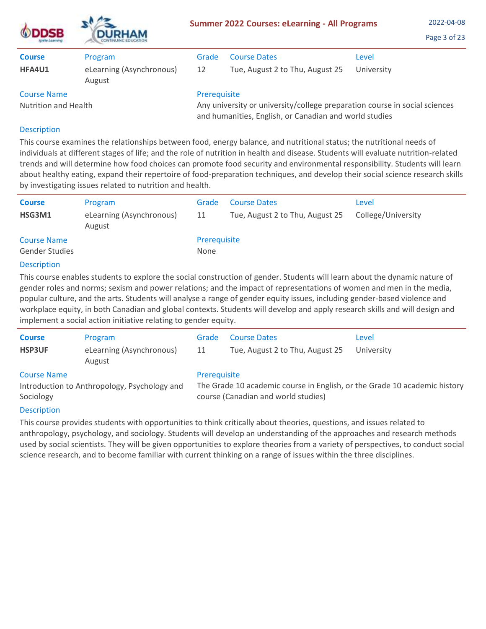| <b>ODDSB</b>         | <b>DURHAM</b>                      |                                                                                                                                      | <b>Summer 2022 Courses: eLearning - All Programs</b> | 2022-04-08<br>Page 3 of 23 |  |  |
|----------------------|------------------------------------|--------------------------------------------------------------------------------------------------------------------------------------|------------------------------------------------------|----------------------------|--|--|
| <b>Course</b>        | Program                            | Grade                                                                                                                                | <b>Course Dates</b>                                  | Level                      |  |  |
| HFA4U1               | eLearning (Asynchronous)<br>August | 12                                                                                                                                   | Tue, August 2 to Thu, August 25                      | University                 |  |  |
| <b>Course Name</b>   |                                    | Prerequisite                                                                                                                         |                                                      |                            |  |  |
| Nutrition and Health |                                    | Any university or university/college preparation course in social sciences<br>and humanities, English, or Canadian and world studies |                                                      |                            |  |  |

 $A$ 

This course examines the relationships between food, energy balance, and nutritional status; the nutritional needs of individuals at different stages of life; and the role of nutrition in health and disease. Students will evaluate nutrition-related trends and will determine how food choices can promote food security and environmental responsibility. Students will learn about healthy eating, expand their repertoire of food-preparation techniques, and develop their social science research skills by investigating issues related to nutrition and health.

| <b>Course</b><br>HSG3M1                     | Program<br>eLearning (Asynchronous)<br>August | Grade<br>11          | <b>Course Dates</b><br>Tue, August 2 to Thu, August 25 | Level<br>College/University |
|---------------------------------------------|-----------------------------------------------|----------------------|--------------------------------------------------------|-----------------------------|
| <b>Course Name</b><br><b>Gender Studies</b> |                                               | Prerequisite<br>None |                                                        |                             |
| <b>Description</b>                          |                                               |                      |                                                        |                             |

This course enables students to explore the social construction of gender. Students will learn about the dynamic nature of gender roles and norms; sexism and power relations; and the impact of representations of women and men in the media, popular culture, and the arts. Students will analyse a range of gender equity issues, including gender-based violence and workplace equity, in both Canadian and global contexts. Students will develop and apply research skills and will design and implement a social action initiative relating to gender equity.

| <b>Course</b><br><b>HSP3UF</b>                 | Program<br>eLearning (Asynchronous)<br>August | Grade<br>11  | <b>Course Dates</b><br>Tue, August 2 to Thu, August 25                                                           | Level<br>University |
|------------------------------------------------|-----------------------------------------------|--------------|------------------------------------------------------------------------------------------------------------------|---------------------|
| <b>Course Name</b><br>Sociology<br>Desembation | Introduction to Anthropology, Psychology and  | Prerequisite | The Grade 10 academic course in English, or the Grade 10 academic history<br>course (Canadian and world studies) |                     |

# **Description**

This course provides students with opportunities to think critically about theories, questions, and issues related to anthropology, psychology, and sociology. Students will develop an understanding of the approaches and research methods used by social scientists. They will be given opportunities to explore theories from a variety of perspectives, to conduct social science research, and to become familiar with current thinking on a range of issues within the three disciplines.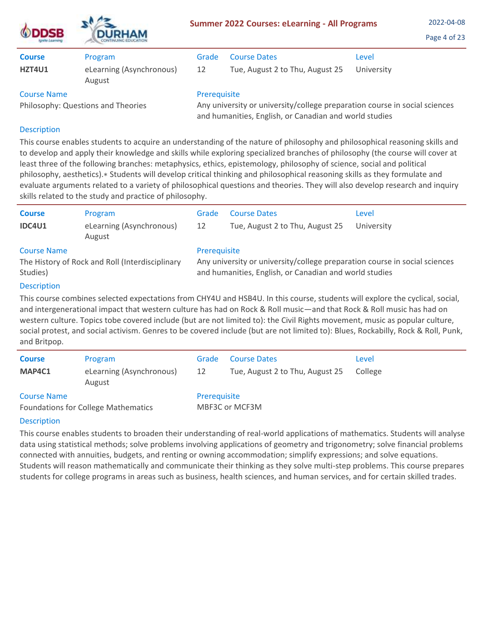|                                                          | <b>DURHAM</b>                      | <b>Summer 2022 Courses: eLearning - All Programs</b>                                                                                                 | 2022-04-08<br>Page 4 of 23      |            |
|----------------------------------------------------------|------------------------------------|------------------------------------------------------------------------------------------------------------------------------------------------------|---------------------------------|------------|
| <b>Course</b>                                            | Program                            | Grade                                                                                                                                                | <b>Course Dates</b>             | Level      |
| HZT4U1                                                   | eLearning (Asynchronous)<br>August | 12                                                                                                                                                   | Tue, August 2 to Thu, August 25 | University |
| <b>Course Name</b><br>Philosophy: Questions and Theories |                                    | Prerequisite<br>Any university or university/college preparation course in social sciences<br>and humanities, English, or Canadian and world studies |                                 |            |
|                                                          |                                    |                                                                                                                                                      |                                 |            |

This course enables students to acquire an understanding of the nature of philosophy and philosophical reasoning skills and to develop and apply their knowledge and skills while exploring specialized branches of philosophy (the course will cover at least three of the following branches: metaphysics, ethics, epistemology, philosophy of science, social and political philosophy, aesthetics).∗ Students will develop critical thinking and philosophical reasoning skills as they formulate and evaluate arguments related to a variety of philosophical questions and theories. They will also develop research and inquiry skills related to the study and practice of philosophy.

| <b>Course</b><br><b>IDC4U1</b>                                                    | Program<br>eLearning (Asynchronous)<br>August | Grade<br>12                                                                                                                                          | <b>Course Dates</b><br>Tue, August 2 to Thu, August 25 | Level<br>University |
|-----------------------------------------------------------------------------------|-----------------------------------------------|------------------------------------------------------------------------------------------------------------------------------------------------------|--------------------------------------------------------|---------------------|
| <b>Course Name</b><br>The History of Rock and Roll (Interdisciplinary<br>Studies) |                                               | Prerequisite<br>Any university or university/college preparation course in social sciences<br>and humanities, English, or Canadian and world studies |                                                        |                     |
| <b>Description</b>                                                                |                                               |                                                                                                                                                      |                                                        |                     |

This course combines selected expectations from CHY4U and HSB4U. In this course, students will explore the cyclical, social, and intergenerational impact that western culture has had on Rock & Roll music—and that Rock & Roll music has had on western culture. Topics tobe covered include (but are not limited to): the Civil Rights movement, music as popular culture, social protest, and social activism. Genres to be covered include (but are not limited to): Blues, Rockabilly, Rock & Roll, Punk, and Britpop.

| <b>Course</b>      | Program                                    | Grade        | <b>Course Dates</b>             | Level   |
|--------------------|--------------------------------------------|--------------|---------------------------------|---------|
| MAP4C1             | eLearning (Asynchronous)<br>August         | 12           | Tue, August 2 to Thu, August 25 | College |
| <b>Course Name</b> | <b>Foundations for College Mathematics</b> | Prerequisite | MBF3C or MCF3M                  |         |

# Description

This course enables students to broaden their understanding of real-world applications of mathematics. Students will analyse data using statistical methods; solve problems involving applications of geometry and trigonometry; solve financial problems connected with annuities, budgets, and renting or owning accommodation; simplify expressions; and solve equations. Students will reason mathematically and communicate their thinking as they solve multi-step problems. This course prepares students for college programs in areas such as business, health sciences, and human services, and for certain skilled trades.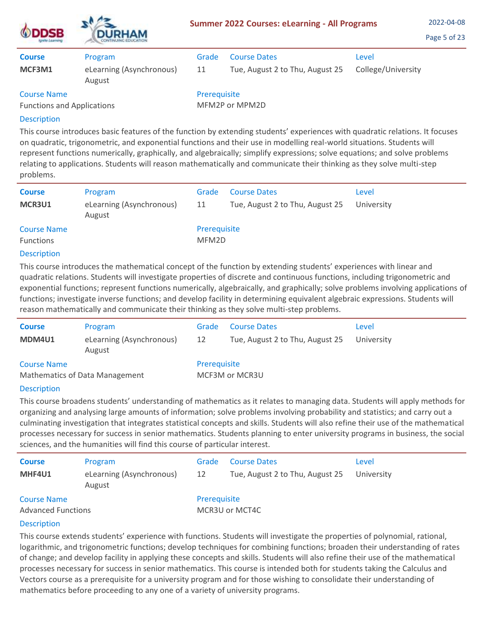| <b>ODDSB</b><br>Ignite Learning                         | <b>DURHAM</b><br>CONTINUING EDUCATION         |                                | <b>Summer 2022 Courses: eLearning - All Programs</b>   |                             | 2022-04-08<br>Page 5 of 23 |
|---------------------------------------------------------|-----------------------------------------------|--------------------------------|--------------------------------------------------------|-----------------------------|----------------------------|
| <b>Course</b><br>MCF3M1                                 | Program<br>eLearning (Asynchronous)<br>August | Grade<br>11                    | <b>Course Dates</b><br>Tue, August 2 to Thu, August 25 | Level<br>College/University |                            |
| <b>Course Name</b><br><b>Functions and Applications</b> |                                               | Prerequisite<br>MFM2P or MPM2D |                                                        |                             |                            |

 $\mathbf{A}$ 

This course introduces basic features of the function by extending students' experiences with quadratic relations. It focuses on quadratic, trigonometric, and exponential functions and their use in modelling real-world situations. Students will represent functions numerically, graphically, and algebraically; simplify expressions; solve equations; and solve problems relating to applications. Students will reason mathematically and communicate their thinking as they solve multi-step problems.

| <b>Course</b><br>MCR3U1                | Program                            | Grade                 | <b>Course Dates</b>             | Level      |
|----------------------------------------|------------------------------------|-----------------------|---------------------------------|------------|
|                                        | eLearning (Asynchronous)<br>August | 11                    | Tue, August 2 to Thu, August 25 | University |
| <b>Course Name</b><br><b>Functions</b> |                                    | Prerequisite<br>MFM2D |                                 |            |

#### Description

This course introduces the mathematical concept of the function by extending students' experiences with linear and quadratic relations. Students will investigate properties of discrete and continuous functions, including trigonometric and exponential functions; represent functions numerically, algebraically, and graphically; solve problems involving applications of functions; investigate inverse functions; and develop facility in determining equivalent algebraic expressions. Students will reason mathematically and communicate their thinking as they solve multi-step problems.

| <b>Course</b>                                        | Program                            | Grade        | <b>Course Dates</b>             | Level      |
|------------------------------------------------------|------------------------------------|--------------|---------------------------------|------------|
| MDM4U1                                               | eLearning (Asynchronous)<br>August | 12           | Tue, August 2 to Thu, August 25 | University |
| <b>Course Name</b><br>Mathematics of Data Management |                                    | Prerequisite | MCF3M or MCR3U                  |            |

## **Description**

This course broadens students' understanding of mathematics as it relates to managing data. Students will apply methods for organizing and analysing large amounts of information; solve problems involving probability and statistics; and carry out a culminating investigation that integrates statistical concepts and skills. Students will also refine their use of the mathematical processes necessary for success in senior mathematics. Students planning to enter university programs in business, the social sciences, and the humanities will find this course of particular interest.

| <b>Course</b>                                   | Program                            | Grade        | <b>Course Dates</b>             | Level      |
|-------------------------------------------------|------------------------------------|--------------|---------------------------------|------------|
| MHF4U1                                          | eLearning (Asynchronous)<br>August | 12           | Tue, August 2 to Thu, August 25 | University |
| <b>Course Name</b><br><b>Advanced Functions</b> |                                    | Prerequisite | MCR3U or MCT4C                  |            |

## Description

This course extends students' experience with functions. Students will investigate the properties of polynomial, rational, logarithmic, and trigonometric functions; develop techniques for combining functions; broaden their understanding of rates of change; and develop facility in applying these concepts and skills. Students will also refine their use of the mathematical processes necessary for success in senior mathematics. This course is intended both for students taking the Calculus and Vectors course as a prerequisite for a university program and for those wishing to consolidate their understanding of mathematics before proceeding to any one of a variety of university programs.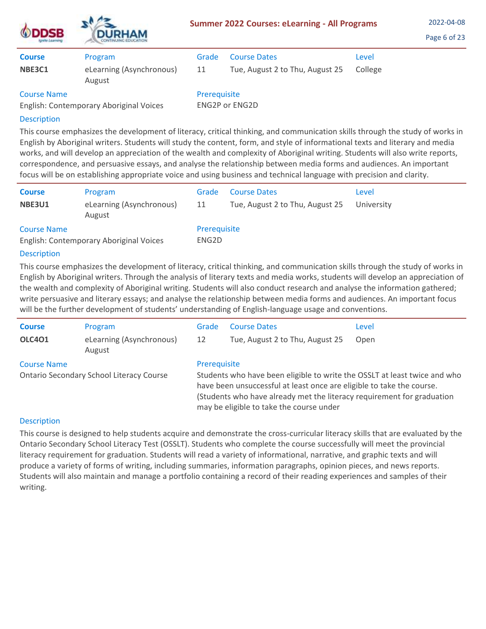| <b>ODDSB</b><br>Ignite Learning                               | <b>DURHAM</b><br>CONTINUING EDUCATION | <b>Summer 2022 Courses: eLearning - All Programs</b> | 2022-04-08<br>Page 6 of 23      |         |  |
|---------------------------------------------------------------|---------------------------------------|------------------------------------------------------|---------------------------------|---------|--|
| <b>Course</b>                                                 | Program                               | Grade                                                | <b>Course Dates</b>             | Level   |  |
| NBE3C1                                                        | eLearning (Asynchronous)<br>August    | 11                                                   | Tue, August 2 to Thu, August 25 | College |  |
| <b>Course Name</b><br>English: Contemporary Aboriginal Voices |                                       | Prerequisite<br><b>ENG2P or ENG2D</b>                |                                 |         |  |

 $\Delta$ 

This course emphasizes the development of literacy, critical thinking, and communication skills through the study of works in English by Aboriginal writers. Students will study the content, form, and style of informational texts and literary and media works, and will develop an appreciation of the wealth and complexity of Aboriginal writing. Students will also write reports, correspondence, and persuasive essays, and analyse the relationship between media forms and audiences. An important focus will be on establishing appropriate voice and using business and technical language with precision and clarity.

| <b>Course</b>      | Program                                 | Grade                 | <b>Course Dates</b>             | Level      |
|--------------------|-----------------------------------------|-----------------------|---------------------------------|------------|
| NBE3U1             | eLearning (Asynchronous)<br>August      | 11                    | Tue, August 2 to Thu, August 25 | University |
| <b>Course Name</b> | English: Contemporary Aboriginal Voices | Prerequisite<br>ENG2D |                                 |            |

## Description

This course emphasizes the development of literacy, critical thinking, and communication skills through the study of works in English by Aboriginal writers. Through the analysis of literary texts and media works, students will develop an appreciation of the wealth and complexity of Aboriginal writing. Students will also conduct research and analyse the information gathered; write persuasive and literary essays; and analyse the relationship between media forms and audiences. An important focus will be the further development of students' understanding of English-language usage and conventions.

| <b>Course</b>      | Program                                         | Grade                                                                                                                                                                                                                                                                    | <b>Course Dates</b>             | Level |
|--------------------|-------------------------------------------------|--------------------------------------------------------------------------------------------------------------------------------------------------------------------------------------------------------------------------------------------------------------------------|---------------------------------|-------|
| <b>OLC401</b>      | eLearning (Asynchronous)<br>August              | 12                                                                                                                                                                                                                                                                       | Tue, August 2 to Thu, August 25 | Open  |
| <b>Course Name</b> |                                                 | Prerequisite                                                                                                                                                                                                                                                             |                                 |       |
|                    | <b>Ontario Secondary School Literacy Course</b> | Students who have been eligible to write the OSSLT at least twice and who<br>have been unsuccessful at least once are eligible to take the course.<br>(Students who have already met the literacy requirement for graduation<br>may be eligible to take the course under |                                 |       |
|                    |                                                 |                                                                                                                                                                                                                                                                          |                                 |       |

## Description

This course is designed to help students acquire and demonstrate the cross-curricular literacy skills that are evaluated by the Ontario Secondary School Literacy Test (OSSLT). Students who complete the course successfully will meet the provincial literacy requirement for graduation. Students will read a variety of informational, narrative, and graphic texts and will produce a variety of forms of writing, including summaries, information paragraphs, opinion pieces, and news reports. Students will also maintain and manage a portfolio containing a record of their reading experiences and samples of their writing.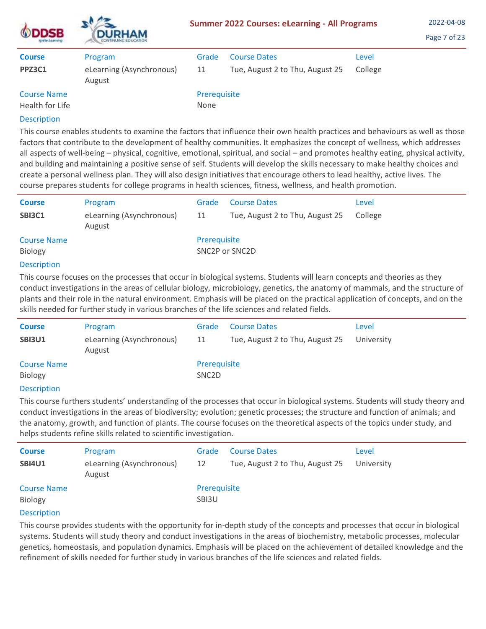| <b>DDSB</b><br>grete Learning         | <b>DURHAM</b><br>CONTINUING EDUCATION | <b>Summer 2022 Courses: eLearning - All Programs</b> | 2022-04-08<br>Page 7 of 23      |         |  |
|---------------------------------------|---------------------------------------|------------------------------------------------------|---------------------------------|---------|--|
| <b>Course</b>                         | Program                               | Grade                                                | <b>Course Dates</b>             | Level   |  |
| <b>PPZ3C1</b>                         | eLearning (Asynchronous)<br>August    | 11                                                   | Tue, August 2 to Thu, August 25 | College |  |
| <b>Course Name</b><br>Health for Life |                                       | Prerequisite<br>None                                 |                                 |         |  |

This course enables students to examine the factors that influence their own health practices and behaviours as well as those factors that contribute to the development of healthy communities. It emphasizes the concept of wellness, which addresses all aspects of well-being – physical, cognitive, emotional, spiritual, and social – and promotes healthy eating, physical activity, and building and maintaining a positive sense of self. Students will develop the skills necessary to make healthy choices and create a personal wellness plan. They will also design initiatives that encourage others to lead healthy, active lives. The course prepares students for college programs in health sciences, fitness, wellness, and health promotion.

| <b>Course</b>                                                                                                            | Program                            | Grade          | <b>Course Dates</b>             | Level   |
|--------------------------------------------------------------------------------------------------------------------------|------------------------------------|----------------|---------------------------------|---------|
| SBI3C1                                                                                                                   | eLearning (Asynchronous)<br>August | 11             | Tue, August 2 to Thu, August 25 | College |
| <b>Course Name</b>                                                                                                       |                                    | Prerequisite   |                                 |         |
| Biology                                                                                                                  |                                    | SNC2P or SNC2D |                                 |         |
| <b>Description</b>                                                                                                       |                                    |                |                                 |         |
| This course focuses on the processes that occur in biological systems. Students will learn concepts and theories as they |                                    |                |                                 |         |

conduct investigations in the areas of cellular biology, microbiology, genetics, the anatomy of mammals, and the structure of plants and their role in the natural environment. Emphasis will be placed on the practical application of concepts, and on the skills needed for further study in various branches of the life sciences and related fields.

| <b>Course</b>      | Program                            | Grade              | <b>Course Dates</b>             | Level      |
|--------------------|------------------------------------|--------------------|---------------------------------|------------|
| <b>SBI3U1</b>      | eLearning (Asynchronous)<br>August | 11                 | Tue, August 2 to Thu, August 25 | University |
| <b>Course Name</b> |                                    | Prerequisite       |                                 |            |
| <b>Biology</b>     |                                    | SNC <sub>2</sub> D |                                 |            |
| _______            |                                    |                    |                                 |            |

## **Description**

This course furthers students' understanding of the processes that occur in biological systems. Students will study theory and conduct investigations in the areas of biodiversity; evolution; genetic processes; the structure and function of animals; and the anatomy, growth, and function of plants. The course focuses on the theoretical aspects of the topics under study, and helps students refine skills related to scientific investigation.

| <b>Course</b>                 | Program                            | Grade                 | <b>Course Dates</b>             | Level      |
|-------------------------------|------------------------------------|-----------------------|---------------------------------|------------|
| <b>SBI4U1</b>                 | eLearning (Asynchronous)<br>August | 12                    | Tue, August 2 to Thu, August 25 | University |
| <b>Course Name</b><br>Biology |                                    | Prerequisite<br>SBI3U |                                 |            |

## **Description**

This course provides students with the opportunity for in-depth study of the concepts and processes that occur in biological systems. Students will study theory and conduct investigations in the areas of biochemistry, metabolic processes, molecular genetics, homeostasis, and population dynamics. Emphasis will be placed on the achievement of detailed knowledge and the refinement of skills needed for further study in various branches of the life sciences and related fields.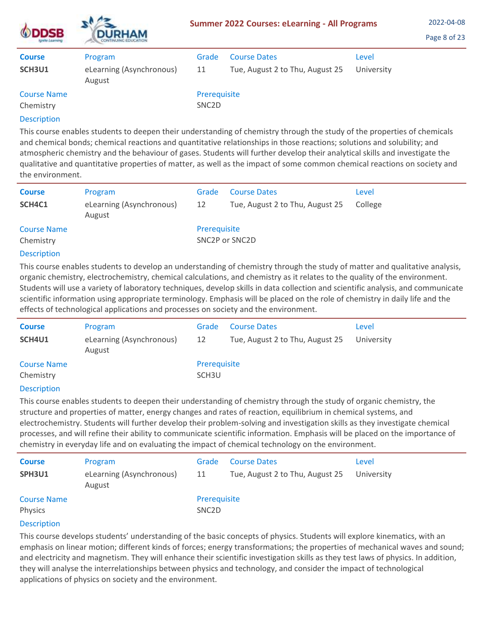| <b>ODDSB</b><br>Ignite Learning | <b>DURHAM</b><br>CONTINUING EDUCATION<br>Program | <b>Summer 2022 Courses: eLearning - All Programs</b> | 2022-04-08<br>Page 8 of 23      |            |  |
|---------------------------------|--------------------------------------------------|------------------------------------------------------|---------------------------------|------------|--|
| <b>Course</b>                   |                                                  | Grade                                                | <b>Course Dates</b>             | Level      |  |
| SCH3U1                          | eLearning (Asynchronous)<br>August               | 11                                                   | Tue, August 2 to Thu, August 25 | University |  |
| <b>Course Name</b><br>Chemistry |                                                  | Prerequisite<br>SNC <sub>2</sub> D                   |                                 |            |  |

 $\mathbf{A}$ 

This course enables students to deepen their understanding of chemistry through the study of the properties of chemicals and chemical bonds; chemical reactions and quantitative relationships in those reactions; solutions and solubility; and atmospheric chemistry and the behaviour of gases. Students will further develop their analytical skills and investigate the qualitative and quantitative properties of matter, as well as the impact of some common chemical reactions on society and the environment.

| <b>Course</b><br>SCH4C1 | Program<br>eLearning (Asynchronous)<br>August | Grade<br>12  | <b>Course Dates</b><br>Tue, August 2 to Thu, August 25 | Level<br>College |
|-------------------------|-----------------------------------------------|--------------|--------------------------------------------------------|------------------|
| <b>Course Name</b>      |                                               | Prerequisite |                                                        |                  |
| Chemistry               |                                               |              | SNC <sub>2</sub> P or SNC <sub>2</sub> D               |                  |

## Description

This course enables students to develop an understanding of chemistry through the study of matter and qualitative analysis, organic chemistry, electrochemistry, chemical calculations, and chemistry as it relates to the quality of the environment. Students will use a variety of laboratory techniques, develop skills in data collection and scientific analysis, and communicate scientific information using appropriate terminology. Emphasis will be placed on the role of chemistry in daily life and the effects of technological applications and processes on society and the environment.

| <b>Course</b>      | Program                            | Grade             | <b>Course Dates</b>             | Level      |
|--------------------|------------------------------------|-------------------|---------------------------------|------------|
| SCH4U1             | eLearning (Asynchronous)<br>August | 12                | Tue, August 2 to Thu, August 25 | University |
| <b>Course Name</b> |                                    | Prerequisite      |                                 |            |
| Chemistry          |                                    | SCH <sub>3U</sub> |                                 |            |
|                    |                                    |                   |                                 |            |

## **Description**

This course enables students to deepen their understanding of chemistry through the study of organic chemistry, the structure and properties of matter, energy changes and rates of reaction, equilibrium in chemical systems, and electrochemistry. Students will further develop their problem-solving and investigation skills as they investigate chemical processes, and will refine their ability to communicate scientific information. Emphasis will be placed on the importance of chemistry in everyday life and on evaluating the impact of chemical technology on the environment.

| <b>Course</b>                 | Program                            | Grade                              | <b>Course Dates</b>             | Level      |
|-------------------------------|------------------------------------|------------------------------------|---------------------------------|------------|
| SPH3U1                        | eLearning (Asynchronous)<br>August | 11                                 | Tue, August 2 to Thu, August 25 | University |
| <b>Course Name</b><br>Physics |                                    | Prerequisite<br>SNC <sub>2</sub> D |                                 |            |

## **Description**

This course develops students' understanding of the basic concepts of physics. Students will explore kinematics, with an emphasis on linear motion; different kinds of forces; energy transformations; the properties of mechanical waves and sound; and electricity and magnetism. They will enhance their scientific investigation skills as they test laws of physics. In addition, they will analyse the interrelationships between physics and technology, and consider the impact of technological applications of physics on society and the environment.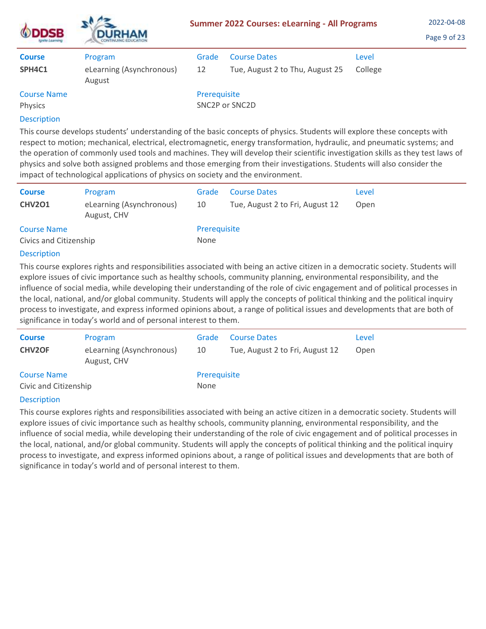| <b>DDSB</b><br>Ignite Learning | <b>DURHAM</b>                      | <b>Summer 2022 Courses: eLearning - All Programs</b> | 2022-04-08<br>Page 9 of 23               |         |  |
|--------------------------------|------------------------------------|------------------------------------------------------|------------------------------------------|---------|--|
| <b>Course</b>                  | Program                            | Grade                                                | <b>Course Dates</b>                      | Level   |  |
| SPH4C1                         | eLearning (Asynchronous)<br>August | 12                                                   | Tue, August 2 to Thu, August 25          | College |  |
| <b>Course Name</b>             |                                    | Prerequisite                                         |                                          |         |  |
| Physics                        |                                    |                                                      | SNC <sub>2</sub> P or SNC <sub>2</sub> D |         |  |
| <b>Description</b>             |                                    |                                                      |                                          |         |  |

This course develops students' understanding of the basic concepts of physics. Students will explore these concepts with respect to motion; mechanical, electrical, electromagnetic, energy transformation, hydraulic, and pneumatic systems; and the operation of commonly used tools and machines. They will develop their scientific investigation skills as they test laws of physics and solve both assigned problems and those emerging from their investigations. Students will also consider the impact of technological applications of physics on society and the environment.

| <b>Course</b>          | Program                                 | Grade        | <b>Course Dates</b>             | Level |
|------------------------|-----------------------------------------|--------------|---------------------------------|-------|
| <b>CHV201</b>          | eLearning (Asynchronous)<br>August, CHV | 10           | Tue, August 2 to Fri, August 12 | Open  |
| <b>Course Name</b>     |                                         | Prerequisite |                                 |       |
| Civics and Citizenship |                                         | None         |                                 |       |

# Description

 $\mathbf{A}$ 

This course explores rights and responsibilities associated with being an active citizen in a democratic society. Students will explore issues of civic importance such as healthy schools, community planning, environmental responsibility, and the influence of social media, while developing their understanding of the role of civic engagement and of political processes in the local, national, and/or global community. Students will apply the concepts of political thinking and the political inquiry process to investigate, and express informed opinions about, a range of political issues and developments that are both of significance in today's world and of personal interest to them.

| <b>Course</b>                         | Program                                 | Grade        | <b>Course Dates</b>             | Level |
|---------------------------------------|-----------------------------------------|--------------|---------------------------------|-------|
| <b>CHV2OF</b>                         | eLearning (Asynchronous)<br>August, CHV | 10           | Tue, August 2 to Fri, August 12 | Open  |
| <b>Course Name</b>                    |                                         | Prerequisite |                                 |       |
| Civic and Citizenship                 |                                         | None         |                                 |       |
| and the second contract of the second |                                         |              |                                 |       |

## **Description**

This course explores rights and responsibilities associated with being an active citizen in a democratic society. Students will explore issues of civic importance such as healthy schools, community planning, environmental responsibility, and the influence of social media, while developing their understanding of the role of civic engagement and of political processes in the local, national, and/or global community. Students will apply the concepts of political thinking and the political inquiry process to investigate, and express informed opinions about, a range of political issues and developments that are both of significance in today's world and of personal interest to them.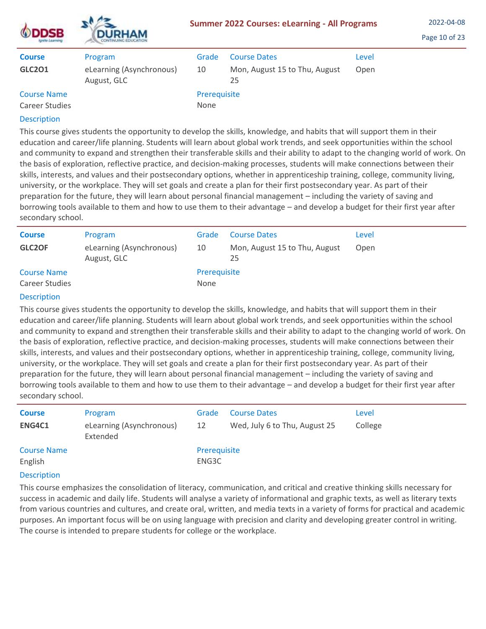| <b>NDDSB</b> | <b>DURHAM</b><br>TINUING EDUCATION |
|--------------|------------------------------------|

| <b>Course</b><br><b>GLC201</b>       | Program<br>eLearning (Asynchronous)<br>August, GLC | Grade<br>10          | <b>Course Dates</b><br>Mon, August 15 to Thu, August<br>25 | Level<br>Open |
|--------------------------------------|----------------------------------------------------|----------------------|------------------------------------------------------------|---------------|
| <b>Course Name</b><br>Career Studies |                                                    | Prerequisite<br>None |                                                            |               |

This course gives students the opportunity to develop the skills, knowledge, and habits that will support them in their education and career/life planning. Students will learn about global work trends, and seek opportunities within the school and community to expand and strengthen their transferable skills and their ability to adapt to the changing world of work. On the basis of exploration, reflective practice, and decision-making processes, students will make connections between their skills, interests, and values and their postsecondary options, whether in apprenticeship training, college, community living, university, or the workplace. They will set goals and create a plan for their first postsecondary year. As part of their preparation for the future, they will learn about personal financial management – including the variety of saving and borrowing tools available to them and how to use them to their advantage – and develop a budget for their first year after secondary school.

| <b>Course</b>                        | Program                                 | Grade                | <b>Course Dates</b>                 | Level |
|--------------------------------------|-----------------------------------------|----------------------|-------------------------------------|-------|
| GLC2OF                               | eLearning (Asynchronous)<br>August, GLC | 10                   | Mon, August 15 to Thu, August<br>25 | Open  |
| <b>Course Name</b><br>Career Studies |                                         | Prerequisite<br>None |                                     |       |

#### Description

This course gives students the opportunity to develop the skills, knowledge, and habits that will support them in their education and career/life planning. Students will learn about global work trends, and seek opportunities within the school and community to expand and strengthen their transferable skills and their ability to adapt to the changing world of work. On the basis of exploration, reflective practice, and decision-making processes, students will make connections between their skills, interests, and values and their postsecondary options, whether in apprenticeship training, college, community living, university, or the workplace. They will set goals and create a plan for their first postsecondary year. As part of their preparation for the future, they will learn about personal financial management – including the variety of saving and borrowing tools available to them and how to use them to their advantage – and develop a budget for their first year after secondary school.

| <b>Course</b>      | Program                              | Grade        | <b>Course Dates</b>           | Level   |
|--------------------|--------------------------------------|--------------|-------------------------------|---------|
| ENG4C1             | eLearning (Asynchronous)<br>Extended | 12           | Wed, July 6 to Thu, August 25 | College |
| <b>Course Name</b> |                                      | Prerequisite |                               |         |
| English            |                                      | ENG3C        |                               |         |
|                    |                                      |              |                               |         |

## **Description**

This course emphasizes the consolidation of literacy, communication, and critical and creative thinking skills necessary for success in academic and daily life. Students will analyse a variety of informational and graphic texts, as well as literary texts from various countries and cultures, and create oral, written, and media texts in a variety of forms for practical and academic purposes. An important focus will be on using language with precision and clarity and developing greater control in writing. The course is intended to prepare students for college or the workplace.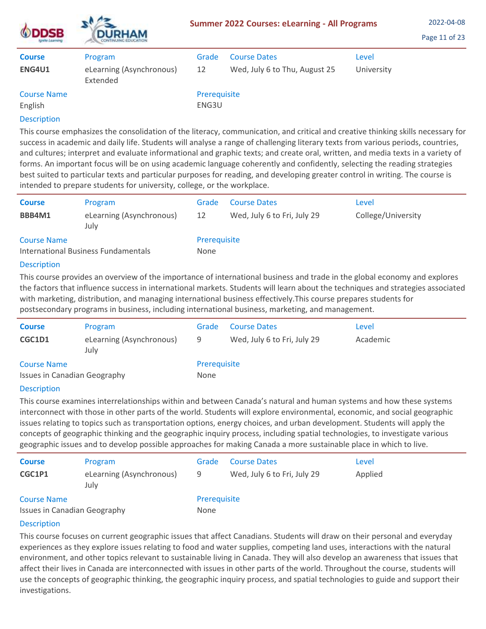| <b>ODDSB</b><br>Ignite Learning | <b>DURHAM</b><br>CONTINUING EDUCATION | <b>Summer 2022 Courses: eLearning - All Programs</b> | 2022-04-08<br>Page 11 of 23   |            |  |
|---------------------------------|---------------------------------------|------------------------------------------------------|-------------------------------|------------|--|
| <b>Course</b>                   | Program                               | Grade                                                | <b>Course Dates</b>           | Level      |  |
| ENG4U1                          | eLearning (Asynchronous)<br>Extended  | 12                                                   | Wed, July 6 to Thu, August 25 | University |  |
| <b>Course Name</b><br>English   |                                       | Prerequisite<br>ENG3U                                |                               |            |  |
|                                 |                                       |                                                      |                               |            |  |

 $\mathbf{A}$ 

This course emphasizes the consolidation of the literacy, communication, and critical and creative thinking skills necessary for success in academic and daily life. Students will analyse a range of challenging literary texts from various periods, countries, and cultures; interpret and evaluate informational and graphic texts; and create oral, written, and media texts in a variety of forms. An important focus will be on using academic language coherently and confidently, selecting the reading strategies best suited to particular texts and particular purposes for reading, and developing greater control in writing. The course is intended to prepare students for university, college, or the workplace.

| <b>Course</b>                       | Program                          | Grade        | <b>Course Dates</b>                                                                                                     | Level              |  |  |
|-------------------------------------|----------------------------------|--------------|-------------------------------------------------------------------------------------------------------------------------|--------------------|--|--|
| BBB4M1                              | eLearning (Asynchronous)<br>July | 12           | Wed, July 6 to Fri, July 29                                                                                             | College/University |  |  |
| <b>Course Name</b>                  |                                  | Prerequisite |                                                                                                                         |                    |  |  |
| International Business Fundamentals |                                  | None         |                                                                                                                         |                    |  |  |
| <b>Description</b>                  |                                  |              |                                                                                                                         |                    |  |  |
|                                     |                                  |              | This sampa spanidas as anasiam af tha impantosa af interpretional husicas and tuade in the adoladal according and ambas |                    |  |  |

This course provides an overview of the importance of international business and trade in the global economy and explores the factors that influence success in international markets. Students will learn about the techniques and strategies associated with marketing, distribution, and managing international business effectively.This course prepares students for postsecondary programs in business, including international business, marketing, and management.

| <b>Course</b>                                             | Program                          | Grade                | <b>Course Dates</b>         | Level    |
|-----------------------------------------------------------|----------------------------------|----------------------|-----------------------------|----------|
| CGC1D1                                                    | eLearning (Asynchronous)<br>July | 9                    | Wed, July 6 to Fri, July 29 | Academic |
| <b>Course Name</b><br><b>Issues in Canadian Geography</b> |                                  | Prerequisite<br>None |                             |          |

# Description

This course examines interrelationships within and between Canada's natural and human systems and how these systems interconnect with those in other parts of the world. Students will explore environmental, economic, and social geographic issues relating to topics such as transportation options, energy choices, and urban development. Students will apply the concepts of geographic thinking and the geographic inquiry process, including spatial technologies, to investigate various geographic issues and to develop possible approaches for making Canada a more sustainable place in which to live.

| <b>Course</b>                       | Program                          | Grade               | <b>Course Dates</b>         | Level   |  |
|-------------------------------------|----------------------------------|---------------------|-----------------------------|---------|--|
| CGC1P1                              | eLearning (Asynchronous)<br>July | 9                   | Wed, July 6 to Fri, July 29 | Applied |  |
| <b>Course Name</b>                  |                                  | <b>Prerequisite</b> |                             |         |  |
| <b>Issues in Canadian Geography</b> |                                  | <b>None</b>         |                             |         |  |
|                                     |                                  |                     |                             |         |  |

# **Description**

This course focuses on current geographic issues that affect Canadians. Students will draw on their personal and everyday experiences as they explore issues relating to food and water supplies, competing land uses, interactions with the natural environment, and other topics relevant to sustainable living in Canada. They will also develop an awareness that issues that affect their lives in Canada are interconnected with issues in other parts of the world. Throughout the course, students will use the concepts of geographic thinking, the geographic inquiry process, and spatial technologies to guide and support their investigations.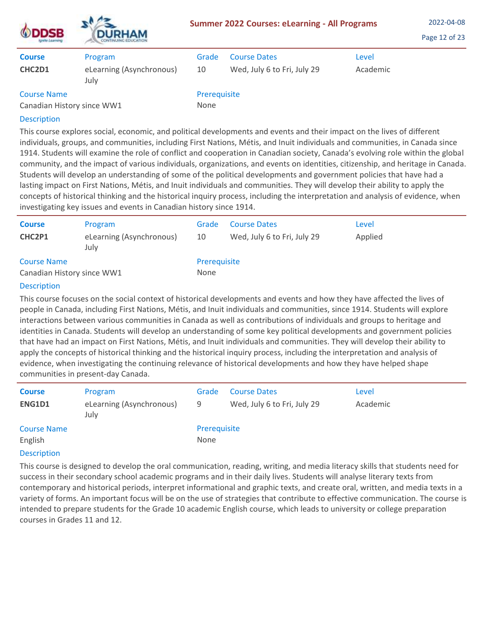| <b>DSB</b><br>grate Learning                     | <b>DURHAM</b><br><b>CONTINUING EDUCATION</b> |                      | <b>Summer 2022 Courses: eLearning - All Programs</b> |                   | 2022-04-08<br>Page 12 of 23 |
|--------------------------------------------------|----------------------------------------------|----------------------|------------------------------------------------------|-------------------|-----------------------------|
| <b>Course</b><br>CHC2D1                          | Program<br>eLearning (Asynchronous)<br>July  | Grade<br>10          | <b>Course Dates</b><br>Wed, July 6 to Fri, July 29   | Level<br>Academic |                             |
| <b>Course Name</b><br>Canadian History since WW1 |                                              | Prerequisite<br>None |                                                      |                   |                             |

This course explores social, economic, and political developments and events and their impact on the lives of different individuals, groups, and communities, including First Nations, Métis, and Inuit individuals and communities, in Canada since 1914. Students will examine the role of conflict and cooperation in Canadian society, Canada's evolving role within the global community, and the impact of various individuals, organizations, and events on identities, citizenship, and heritage in Canada. Students will develop an understanding of some of the political developments and government policies that have had a lasting impact on First Nations, Métis, and Inuit individuals and communities. They will develop their ability to apply the concepts of historical thinking and the historical inquiry process, including the interpretation and analysis of evidence, when investigating key issues and events in Canadian history since 1914.

| <b>Course</b><br>CHC2P1                          | Program<br>eLearning (Asynchronous)<br>July | Grade<br>10          | <b>Course Dates</b><br>Wed, July 6 to Fri, July 29 | Level<br>Applied |
|--------------------------------------------------|---------------------------------------------|----------------------|----------------------------------------------------|------------------|
| <b>Course Name</b><br>Canadian History since WW1 |                                             | Prerequisite<br>None |                                                    |                  |

# Description

This course focuses on the social context of historical developments and events and how they have affected the lives of people in Canada, including First Nations, Métis, and Inuit individuals and communities, since 1914. Students will explore interactions between various communities in Canada as well as contributions of individuals and groups to heritage and identities in Canada. Students will develop an understanding of some key political developments and government policies that have had an impact on First Nations, Métis, and Inuit individuals and communities. They will develop their ability to apply the concepts of historical thinking and the historical inquiry process, including the interpretation and analysis of evidence, when investigating the continuing relevance of historical developments and how they have helped shape communities in present-day Canada.

| <b>Course</b>                         | Program                          | Grade        | <b>Course Dates</b>         | Level    |
|---------------------------------------|----------------------------------|--------------|-----------------------------|----------|
| ENG1D1                                | eLearning (Asynchronous)<br>July | 9            | Wed, July 6 to Fri, July 29 | Academic |
| <b>Course Name</b>                    |                                  | Prerequisite |                             |          |
| English                               |                                  | None         |                             |          |
| and the second contract of the second |                                  |              |                             |          |

## **Description**

This course is designed to develop the oral communication, reading, writing, and media literacy skills that students need for success in their secondary school academic programs and in their daily lives. Students will analyse literary texts from contemporary and historical periods, interpret informational and graphic texts, and create oral, written, and media texts in a variety of forms. An important focus will be on the use of strategies that contribute to effective communication. The course is intended to prepare students for the Grade 10 academic English course, which leads to university or college preparation courses in Grades 11 and 12.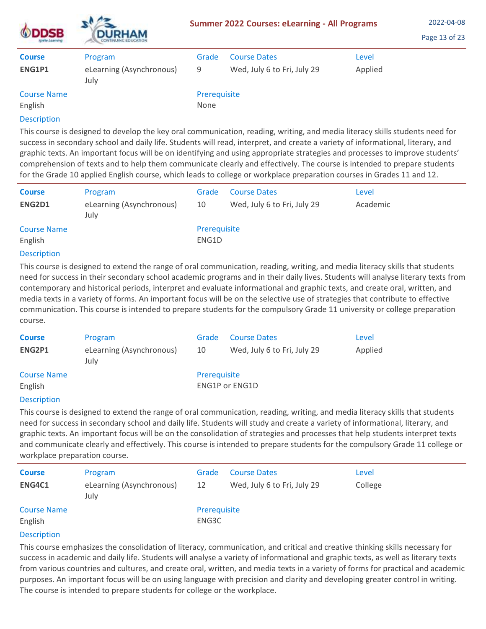| <b>DSB</b><br>Ignite Learning | <b>DURHAM</b><br><b>CONTINUING EDUCATION</b> | <b>Summer 2022 Courses: eLearning - All Programs</b> |                                                    |                  | 2022-04-08<br>Page 13 of 23 |
|-------------------------------|----------------------------------------------|------------------------------------------------------|----------------------------------------------------|------------------|-----------------------------|
| <b>Course</b><br>ENG1P1       | Program<br>eLearning (Asynchronous)<br>July  | Grade<br>9                                           | <b>Course Dates</b><br>Wed, July 6 to Fri, July 29 | Level<br>Applied |                             |
| <b>Course Name</b><br>English |                                              | Prerequisite<br>None                                 |                                                    |                  |                             |

This course is designed to develop the key oral communication, reading, writing, and media literacy skills students need for success in secondary school and daily life. Students will read, interpret, and create a variety of informational, literary, and graphic texts. An important focus will be on identifying and using appropriate strategies and processes to improve students' comprehension of texts and to help them communicate clearly and effectively. The course is intended to prepare students for the Grade 10 applied English course, which leads to college or workplace preparation courses in Grades 11 and 12.

| <b>Course</b>                 | Program                          | Grade                 | <b>Course Dates</b>         | Level    |
|-------------------------------|----------------------------------|-----------------------|-----------------------------|----------|
| ENG2D1                        | eLearning (Asynchronous)<br>July | 10                    | Wed, July 6 to Fri, July 29 | Academic |
| <b>Course Name</b><br>English |                                  | Prerequisite<br>ENG1D |                             |          |

## Description

This course is designed to extend the range of oral communication, reading, writing, and media literacy skills that students need for success in their secondary school academic programs and in their daily lives. Students will analyse literary texts from contemporary and historical periods, interpret and evaluate informational and graphic texts, and create oral, written, and media texts in a variety of forms. An important focus will be on the selective use of strategies that contribute to effective communication. This course is intended to prepare students for the compulsory Grade 11 university or college preparation course.

| <b>Course</b>      | Program                          | Grade        | <b>Course Dates</b>         | Level   |
|--------------------|----------------------------------|--------------|-----------------------------|---------|
| ENG2P1             | eLearning (Asynchronous)<br>July | 10           | Wed, July 6 to Fri, July 29 | Applied |
| <b>Course Name</b> |                                  | Prerequisite |                             |         |
| English            |                                  |              | <b>ENG1P or ENG1D</b>       |         |
|                    |                                  |              |                             |         |

## **Description**

This course is designed to extend the range of oral communication, reading, writing, and media literacy skills that students need for success in secondary school and daily life. Students will study and create a variety of informational, literary, and graphic texts. An important focus will be on the consolidation of strategies and processes that help students interpret texts and communicate clearly and effectively. This course is intended to prepare students for the compulsory Grade 11 college or workplace preparation course.

| <b>Course</b><br>ENG4C1       | Program<br>eLearning (Asynchronous)<br>July | Grade<br>12           | <b>Course Dates</b><br>Wed, July 6 to Fri, July 29 | Level<br>College |
|-------------------------------|---------------------------------------------|-----------------------|----------------------------------------------------|------------------|
| <b>Course Name</b><br>English |                                             | Prerequisite<br>ENG3C |                                                    |                  |

## **Description**

This course emphasizes the consolidation of literacy, communication, and critical and creative thinking skills necessary for success in academic and daily life. Students will analyse a variety of informational and graphic texts, as well as literary texts from various countries and cultures, and create oral, written, and media texts in a variety of forms for practical and academic purposes. An important focus will be on using language with precision and clarity and developing greater control in writing. The course is intended to prepare students for college or the workplace.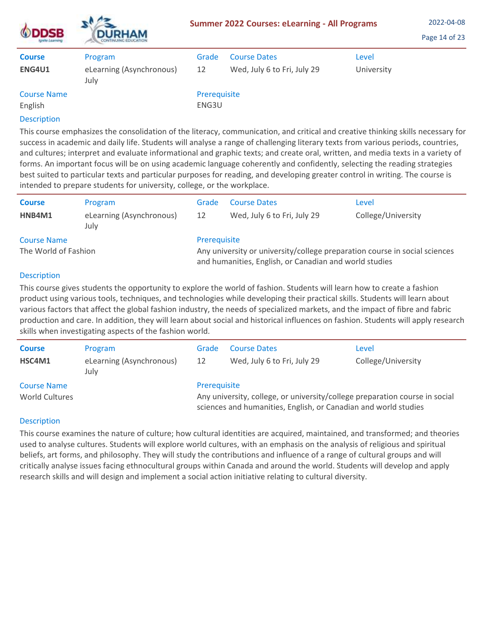| <b>ODDSB</b><br><b>Ignite Learning</b> | <b>DURHAM</b><br>CONTINUING EDUCATION.      |                       | <b>Summer 2022 Courses: eLearning - All Programs</b> |                     | 2022-04-08<br>Page 14 of 23 |
|----------------------------------------|---------------------------------------------|-----------------------|------------------------------------------------------|---------------------|-----------------------------|
| <b>Course</b><br><b>ENG4U1</b>         | Program<br>eLearning (Asynchronous)<br>July | Grade<br>12           | <b>Course Dates</b><br>Wed, July 6 to Fri, July 29   | Level<br>University |                             |
| <b>Course Name</b><br>English          |                                             | Prerequisite<br>ENG3U |                                                      |                     |                             |

 $\mathbf{A}$ 

This course emphasizes the consolidation of the literacy, communication, and critical and creative thinking skills necessary for success in academic and daily life. Students will analyse a range of challenging literary texts from various periods, countries, and cultures; interpret and evaluate informational and graphic texts; and create oral, written, and media texts in a variety of forms. An important focus will be on using academic language coherently and confidently, selecting the reading strategies best suited to particular texts and particular purposes for reading, and developing greater control in writing. The course is intended to prepare students for university, college, or the workplace.

| <b>Course</b>        | Program                          | Grade                                                                                                                                | <b>Course Dates</b>         | Level              |
|----------------------|----------------------------------|--------------------------------------------------------------------------------------------------------------------------------------|-----------------------------|--------------------|
| HNB4M1               | eLearning (Asynchronous)<br>July | 12                                                                                                                                   | Wed, July 6 to Fri, July 29 | College/University |
| <b>Course Name</b>   |                                  | Prerequisite                                                                                                                         |                             |                    |
| The World of Fashion |                                  | Any university or university/college preparation course in social sciences<br>and humanities, English, or Canadian and world studies |                             |                    |

## **Description**

This course gives students the opportunity to explore the world of fashion. Students will learn how to create a fashion product using various tools, techniques, and technologies while developing their practical skills. Students will learn about various factors that affect the global fashion industry, the needs of specialized markets, and the impact of fibre and fabric production and care. In addition, they will learn about social and historical influences on fashion. Students will apply research skills when investigating aspects of the fashion world.

| <b>Course</b><br>HSC4M1              | Program<br>eLearning (Asynchronous)<br>July | Grade<br>12                                                                                                                                                    | <b>Course Dates</b><br>Wed, July 6 to Fri, July 29 | Level<br>College/University |
|--------------------------------------|---------------------------------------------|----------------------------------------------------------------------------------------------------------------------------------------------------------------|----------------------------------------------------|-----------------------------|
| <b>Course Name</b><br>World Cultures |                                             | Prerequisite<br>Any university, college, or university/college preparation course in social<br>sciences and humanities, English, or Canadian and world studies |                                                    |                             |

## Description

This course examines the nature of culture; how cultural identities are acquired, maintained, and transformed; and theories used to analyse cultures. Students will explore world cultures, with an emphasis on the analysis of religious and spiritual beliefs, art forms, and philosophy. They will study the contributions and influence of a range of cultural groups and will critically analyse issues facing ethnocultural groups within Canada and around the world. Students will develop and apply research skills and will design and implement a social action initiative relating to cultural diversity.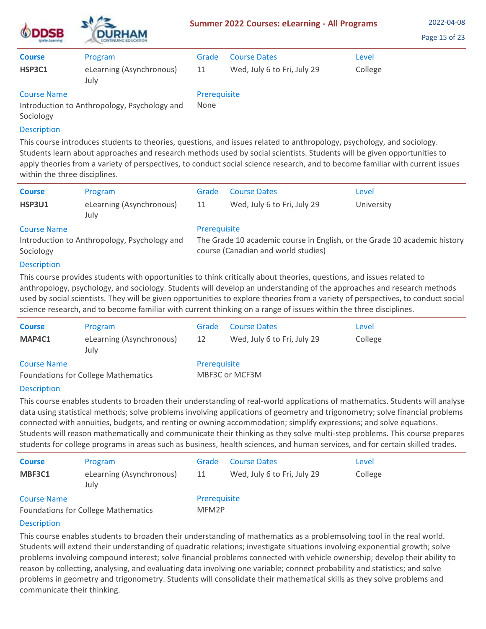| <b>ODDSB</b><br><b>ISTURO LIGATIONS</b> | <b>DURHAM</b><br><b>CONTINUING EDUCATION</b><br>Program<br>eLearning (Asynchronous)<br>July | <b>Summer 2022 Courses: eLearning - All Programs</b> | 2022-04-08<br>Page 15 of 23                        |                  |  |
|-----------------------------------------|---------------------------------------------------------------------------------------------|------------------------------------------------------|----------------------------------------------------|------------------|--|
| <b>Course</b><br><b>HSP3C1</b>          |                                                                                             | Grade<br>11                                          | <b>Course Dates</b><br>Wed, July 6 to Fri, July 29 | Level<br>College |  |
| <b>Course Name</b>                      |                                                                                             | Prerequisite                                         |                                                    |                  |  |

Introduction to Anthropology, Psychology and Sociology

# **Description**

This course introduces students to theories, questions, and issues related to anthropology, psychology, and sociology. Students learn about approaches and research methods used by social scientists. Students will be given opportunities to apply theories from a variety of perspectives, to conduct social science research, and to become familiar with current issues within the three disciplines.

| <b>Course</b> | Program                          | Grade        | <b>Course Dates</b>         | Level      |
|---------------|----------------------------------|--------------|-----------------------------|------------|
| HSP3U1        | eLearning (Asynchronous)<br>July | 11           | Wed, July 6 to Fri, July 29 | University |
| Course Name   |                                  | Prerequisite |                             |            |

The Grade 10 academic course in English, or the Grade 10 academic history

# Course Name

# Prerequisite

None

Introduction to Anthropology, Psychology and Sociology

# Description

This course provides students with opportunities to think critically about theories, questions, and issues related to anthropology, psychology, and sociology. Students will develop an understanding of the approaches and research methods used by social scientists. They will be given opportunities to explore theories from a variety of perspectives, to conduct social science research, and to become familiar with current thinking on a range of issues within the three disciplines.

course (Canadian and world studies)

| <b>Course</b><br>MAP4C1 | Program<br>eLearning (Asynchronous)<br>July | Grade<br>12  | <b>Course Dates</b><br>Wed, July 6 to Fri, July 29 | Level<br>College |
|-------------------------|---------------------------------------------|--------------|----------------------------------------------------|------------------|
| <b>Course Name</b>      | <b>Foundations for College Mathematics</b>  | Prerequisite | MBF3C or MCF3M                                     |                  |

# **Description**

This course enables students to broaden their understanding of real-world applications of mathematics. Students will analyse data using statistical methods; solve problems involving applications of geometry and trigonometry; solve financial problems connected with annuities, budgets, and renting or owning accommodation; simplify expressions; and solve equations. Students will reason mathematically and communicate their thinking as they solve multi-step problems. This course prepares students for college programs in areas such as business, health sciences, and human services, and for certain skilled trades.

| <b>Course</b>      | Program                                    | Grade                              | <b>Course Dates</b>         | Level   |
|--------------------|--------------------------------------------|------------------------------------|-----------------------------|---------|
| MBF3C1             | eLearning (Asynchronous)<br>July           | 11                                 | Wed, July 6 to Fri, July 29 | College |
| <b>Course Name</b> | <b>Foundations for College Mathematics</b> | Prerequisite<br>MFM <sub>2</sub> P |                             |         |

# Description

This course enables students to broaden their understanding of mathematics as a problemsolving tool in the real world. Students will extend their understanding of quadratic relations; investigate situations involving exponential growth; solve problems involving compound interest; solve financial problems connected with vehicle ownership; develop their ability to reason by collecting, analysing, and evaluating data involving one variable; connect probability and statistics; and solve problems in geometry and trigonometry. Students will consolidate their mathematical skills as they solve problems and communicate their thinking.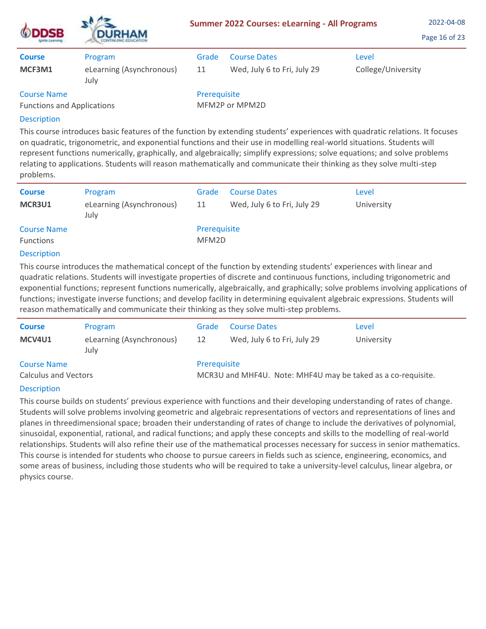| <b>ODDSB</b><br>Ignite Learning                         | <b>DURHAM</b><br><b>CONTINUING EDUCATION</b> |                                | 2022-04-08<br><b>Summer 2022 Courses: eLearning - All Programs</b><br>Page 16 of 23 |                    |
|---------------------------------------------------------|----------------------------------------------|--------------------------------|-------------------------------------------------------------------------------------|--------------------|
| <b>Course</b>                                           | Program                                      | Grade                          | <b>Course Dates</b>                                                                 | Level              |
| MCF3M1                                                  | eLearning (Asynchronous)<br>July             | 11                             | Wed, July 6 to Fri, July 29                                                         | College/University |
| <b>Course Name</b><br><b>Functions and Applications</b> |                                              | Prerequisite<br>MFM2P or MPM2D |                                                                                     |                    |

This course introduces basic features of the function by extending students' experiences with quadratic relations. It focuses on quadratic, trigonometric, and exponential functions and their use in modelling real-world situations. Students will represent functions numerically, graphically, and algebraically; simplify expressions; solve equations; and solve problems relating to applications. Students will reason mathematically and communicate their thinking as they solve multi-step problems.

| <b>Course</b><br>MCR3U1                | Program<br>eLearning (Asynchronous)<br>July | Grade<br>11           | <b>Course Dates</b><br>Wed, July 6 to Fri, July 29 | Level<br>University |
|----------------------------------------|---------------------------------------------|-----------------------|----------------------------------------------------|---------------------|
| <b>Course Name</b><br><b>Functions</b> |                                             | Prerequisite<br>MFM2D |                                                    |                     |

## Description

This course introduces the mathematical concept of the function by extending students' experiences with linear and quadratic relations. Students will investigate properties of discrete and continuous functions, including trigonometric and exponential functions; represent functions numerically, algebraically, and graphically; solve problems involving applications of functions; investigate inverse functions; and develop facility in determining equivalent algebraic expressions. Students will reason mathematically and communicate their thinking as they solve multi-step problems.

| <b>Course</b>                                     | Program                          | Grade        | <b>Course Dates</b>                                          | Level      |
|---------------------------------------------------|----------------------------------|--------------|--------------------------------------------------------------|------------|
| MCV4U1                                            | eLearning (Asynchronous)<br>July | 12           | Wed, July 6 to Fri, July 29                                  | University |
| <b>Course Name</b><br><b>Calculus and Vectors</b> |                                  | Prerequisite | MCR3U and MHF4U. Note: MHF4U may be taked as a co-requisite. |            |

## **Description**

This course builds on students' previous experience with functions and their developing understanding of rates of change. Students will solve problems involving geometric and algebraic representations of vectors and representations of lines and planes in threedimensional space; broaden their understanding of rates of change to include the derivatives of polynomial, sinusoidal, exponential, rational, and radical functions; and apply these concepts and skills to the modelling of real-world relationships. Students will also refine their use of the mathematical processes necessary for success in senior mathematics. This course is intended for students who choose to pursue careers in fields such as science, engineering, economics, and some areas of business, including those students who will be required to take a university-level calculus, linear algebra, or physics course.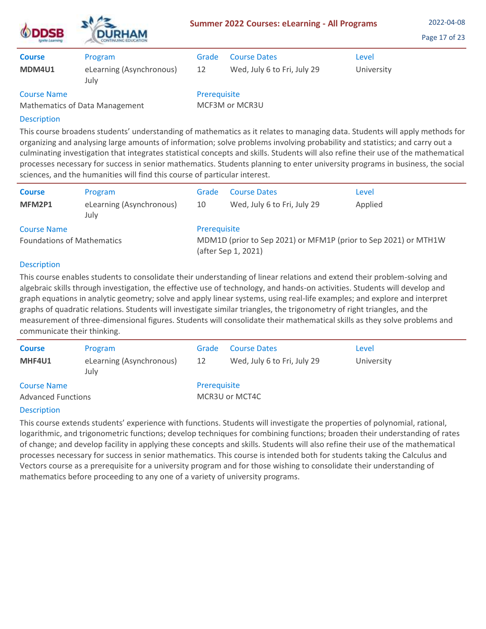| <b>ODDSB</b><br><b>Ignite Learning</b> | <b>DURHAM</b>                    | <b>Summer 2022 Courses: eLearning - All Programs</b> | 2022-04-08<br>Page 17 of 23 |            |  |
|----------------------------------------|----------------------------------|------------------------------------------------------|-----------------------------|------------|--|
| <b>Course</b>                          | Program                          | Grade                                                | <b>Course Dates</b>         | Level      |  |
| MDM4U1                                 | eLearning (Asynchronous)<br>July | 12                                                   | Wed, July 6 to Fri, July 29 | University |  |
| <b>Course Name</b>                     | Mathematics of Data Management   | Prerequisite                                         | MCF3M or MCR3U              |            |  |

 $\lambda = -$ 

This course broadens students' understanding of mathematics as it relates to managing data. Students will apply methods for organizing and analysing large amounts of information; solve problems involving probability and statistics; and carry out a culminating investigation that integrates statistical concepts and skills. Students will also refine their use of the mathematical processes necessary for success in senior mathematics. Students planning to enter university programs in business, the social sciences, and the humanities will find this course of particular interest.

| <b>Course</b>                     | Program                          | Grade                                                                                  | <b>Course Dates</b>         | Level   |  |  |
|-----------------------------------|----------------------------------|----------------------------------------------------------------------------------------|-----------------------------|---------|--|--|
| MFM2P1                            | eLearning (Asynchronous)<br>July | 10                                                                                     | Wed, July 6 to Fri, July 29 | Applied |  |  |
| <b>Course Name</b>                |                                  | Prerequisite                                                                           |                             |         |  |  |
| <b>Foundations of Mathematics</b> |                                  | MDM1D (prior to Sep 2021) or MFM1P (prior to Sep 2021) or MTH1W<br>(after Sep 1, 2021) |                             |         |  |  |

## **Description**

This course enables students to consolidate their understanding of linear relations and extend their problem-solving and algebraic skills through investigation, the effective use of technology, and hands-on activities. Students will develop and graph equations in analytic geometry; solve and apply linear systems, using real-life examples; and explore and interpret graphs of quadratic relations. Students will investigate similar triangles, the trigonometry of right triangles, and the measurement of three-dimensional figures. Students will consolidate their mathematical skills as they solve problems and communicate their thinking.

| <b>Course</b><br>MHF4U1                         | Program<br>eLearning (Asynchronous)<br>July | Grade<br>12  | <b>Course Dates</b><br>Wed, July 6 to Fri, July 29 | Level<br>University |
|-------------------------------------------------|---------------------------------------------|--------------|----------------------------------------------------|---------------------|
| <b>Course Name</b><br><b>Advanced Functions</b> |                                             | Prerequisite | MCR3U or MCT4C                                     |                     |

## **Description**

This course extends students' experience with functions. Students will investigate the properties of polynomial, rational, logarithmic, and trigonometric functions; develop techniques for combining functions; broaden their understanding of rates of change; and develop facility in applying these concepts and skills. Students will also refine their use of the mathematical processes necessary for success in senior mathematics. This course is intended both for students taking the Calculus and Vectors course as a prerequisite for a university program and for those wishing to consolidate their understanding of mathematics before proceeding to any one of a variety of university programs.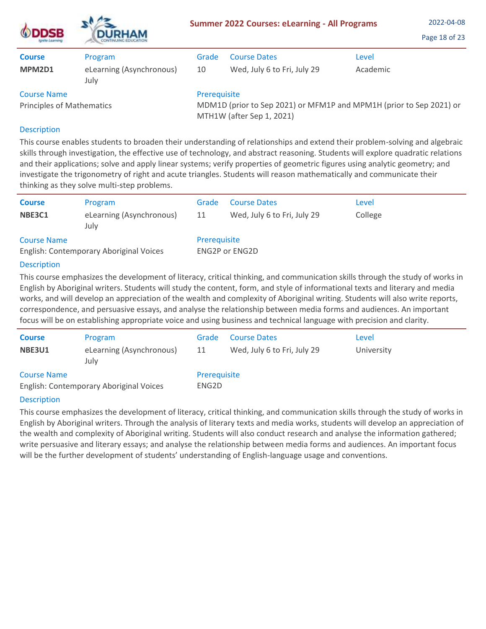| <b>ODDSB</b><br>grete Learning   | <b>DURHAM</b>                    |                                                                                                  | <b>Summer 2022 Courses: eLearning - All Programs</b> |          | 2022-04-08<br>Page 18 of 23 |
|----------------------------------|----------------------------------|--------------------------------------------------------------------------------------------------|------------------------------------------------------|----------|-----------------------------|
| <b>Course</b>                    | Program                          | Grade                                                                                            | <b>Course Dates</b>                                  | Level    |                             |
| MPM2D1                           | eLearning (Asynchronous)<br>July | 10                                                                                               | Wed, July 6 to Fri, July 29                          | Academic |                             |
| <b>Course Name</b>               |                                  | Prerequisite                                                                                     |                                                      |          |                             |
| <b>Principles of Mathematics</b> |                                  | MDM1D (prior to Sep 2021) or MFM1P and MPM1H (prior to Sep 2021) or<br>MTH1W (after Sep 1, 2021) |                                                      |          |                             |

 $\lambda = -$ 

This course enables students to broaden their understanding of relationships and extend their problem-solving and algebraic skills through investigation, the effective use of technology, and abstract reasoning. Students will explore quadratic relations and their applications; solve and apply linear systems; verify properties of geometric figures using analytic geometry; and investigate the trigonometry of right and acute triangles. Students will reason mathematically and communicate their thinking as they solve multi-step problems.

| <b>Course</b>                           | Program                          | Grade          | <b>Course Dates</b>         | Level   |
|-----------------------------------------|----------------------------------|----------------|-----------------------------|---------|
| NBE3C1                                  | eLearning (Asynchronous)<br>July | 11             | Wed, July 6 to Fri, July 29 | College |
| <b>Course Name</b>                      |                                  | Prerequisite   |                             |         |
| English: Contemporary Aboriginal Voices |                                  | ENG2P or ENG2D |                             |         |
| <b>Doccription</b>                      |                                  |                |                             |         |

## **Description**

This course emphasizes the development of literacy, critical thinking, and communication skills through the study of works in English by Aboriginal writers. Students will study the content, form, and style of informational texts and literary and media works, and will develop an appreciation of the wealth and complexity of Aboriginal writing. Students will also write reports, correspondence, and persuasive essays, and analyse the relationship between media forms and audiences. An important focus will be on establishing appropriate voice and using business and technical language with precision and clarity.

| <b>Course</b>      | Program                                 | Grade                 | <b>Course Dates</b>         | Level      |
|--------------------|-----------------------------------------|-----------------------|-----------------------------|------------|
| <b>NBE3U1</b>      | eLearning (Asynchronous)<br>July        | 11                    | Wed, July 6 to Fri, July 29 | University |
| <b>Course Name</b> | English: Contemporary Aboriginal Voices | Prerequisite<br>ENG2D |                             |            |
|                    |                                         |                       |                             |            |

## Description

This course emphasizes the development of literacy, critical thinking, and communication skills through the study of works in English by Aboriginal writers. Through the analysis of literary texts and media works, students will develop an appreciation of the wealth and complexity of Aboriginal writing. Students will also conduct research and analyse the information gathered; write persuasive and literary essays; and analyse the relationship between media forms and audiences. An important focus will be the further development of students' understanding of English-language usage and conventions.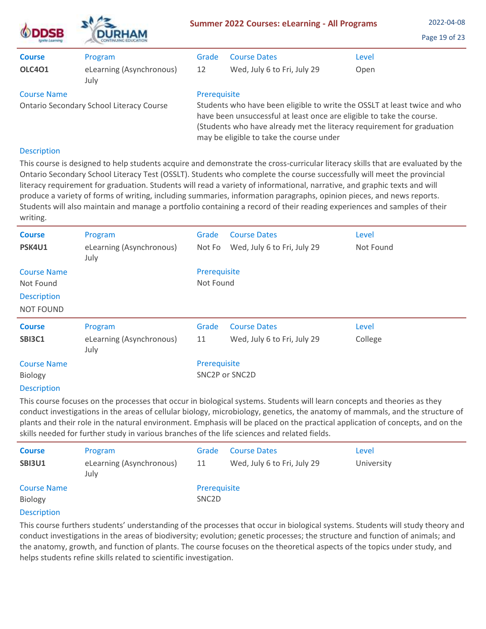|                                                                       | <b>DURHAM</b>                    | <b>Summer 2022 Courses: eLearning - All Programs</b>                                                                                                                                                                                                                                     |                             |       | 2022-04-08<br>Page 19 of 23 |  |
|-----------------------------------------------------------------------|----------------------------------|------------------------------------------------------------------------------------------------------------------------------------------------------------------------------------------------------------------------------------------------------------------------------------------|-----------------------------|-------|-----------------------------|--|
| <b>Course</b>                                                         | Program                          | Grade                                                                                                                                                                                                                                                                                    | <b>Course Dates</b>         | Level |                             |  |
| <b>OLC401</b>                                                         | eLearning (Asynchronous)<br>July | 12                                                                                                                                                                                                                                                                                       | Wed, July 6 to Fri, July 29 | Open  |                             |  |
| <b>Course Name</b><br><b>Ontario Secondary School Literacy Course</b> |                                  | Prerequisite<br>Students who have been eligible to write the OSSLT at least twice and who<br>have been unsuccessful at least once are eligible to take the course.<br>(Students who have already met the literacy requirement for graduation<br>may be eligible to take the course under |                             |       |                             |  |

 $\Delta$ 

This course is designed to help students acquire and demonstrate the cross-curricular literacy skills that are evaluated by the Ontario Secondary School Literacy Test (OSSLT). Students who complete the course successfully will meet the provincial literacy requirement for graduation. Students will read a variety of informational, narrative, and graphic texts and will produce a variety of forms of writing, including summaries, information paragraphs, opinion pieces, and news reports. Students will also maintain and manage a portfolio containing a record of their reading experiences and samples of their writing.

| <b>Course</b><br>PSK4U1                | Program<br>eLearning (Asynchronous)<br>July | Grade<br>Not Fo           | <b>Course Dates</b><br>Wed, July 6 to Fri, July 29 | Level<br>Not Found |
|----------------------------------------|---------------------------------------------|---------------------------|----------------------------------------------------|--------------------|
| <b>Course Name</b><br>Not Found        |                                             | Prerequisite<br>Not Found |                                                    |                    |
| <b>Description</b><br><b>NOT FOUND</b> |                                             |                           |                                                    |                    |
| <b>Course</b>                          | Program                                     | Grade                     | <b>Course Dates</b>                                | Level              |
| <b>SBI3C1</b>                          | eLearning (Asynchronous)<br>July            | 11                        | Wed, July 6 to Fri, July 29                        | College            |
| <b>Course Name</b>                     |                                             | Prerequisite              |                                                    |                    |
| Biology                                |                                             | SNC2P or SNC2D            |                                                    |                    |
| <b>Description</b>                     |                                             |                           |                                                    |                    |

This course focuses on the processes that occur in biological systems. Students will learn concepts and theories as they conduct investigations in the areas of cellular biology, microbiology, genetics, the anatomy of mammals, and the structure of plants and their role in the natural environment. Emphasis will be placed on the practical application of concepts, and on the skills needed for further study in various branches of the life sciences and related fields.

| <b>Course</b>      | Program                          | Grade              | <b>Course Dates</b>         | Level      |
|--------------------|----------------------------------|--------------------|-----------------------------|------------|
| <b>SBI3U1</b>      | eLearning (Asynchronous)<br>July | 11                 | Wed, July 6 to Fri, July 29 | University |
| <b>Course Name</b> |                                  | Prerequisite       |                             |            |
| Biology            |                                  | SNC <sub>2</sub> D |                             |            |
|                    |                                  |                    |                             |            |

## **Description**

This course furthers students' understanding of the processes that occur in biological systems. Students will study theory and conduct investigations in the areas of biodiversity; evolution; genetic processes; the structure and function of animals; and the anatomy, growth, and function of plants. The course focuses on the theoretical aspects of the topics under study, and helps students refine skills related to scientific investigation.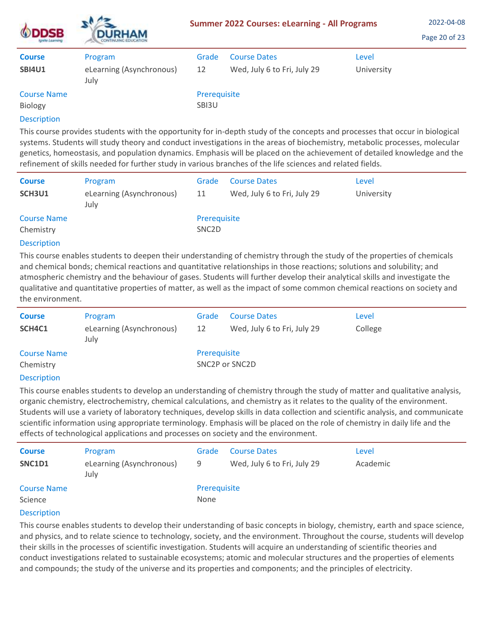| <b>ODDSB</b><br>Ignite Learning | <b>DURHAM</b><br><b>CONTINUING EDUCATION</b> | <b>Summer 2022 Courses: eLearning - All Programs</b> | 2022-04-08<br>Page 20 of 23 |            |  |
|---------------------------------|----------------------------------------------|------------------------------------------------------|-----------------------------|------------|--|
| <b>Course</b>                   | Program                                      | Grade                                                | <b>Course Dates</b>         | Level      |  |
| <b>SBI4U1</b>                   | eLearning (Asynchronous)<br>July             | 12                                                   | Wed, July 6 to Fri, July 29 | University |  |
| <b>Course Name</b><br>Biology   |                                              | Prerequisite<br>SBI3U                                |                             |            |  |

This course provides students with the opportunity for in-depth study of the concepts and processes that occur in biological systems. Students will study theory and conduct investigations in the areas of biochemistry, metabolic processes, molecular genetics, homeostasis, and population dynamics. Emphasis will be placed on the achievement of detailed knowledge and the refinement of skills needed for further study in various branches of the life sciences and related fields.

| <b>Course</b><br>SCH3U1         | Program<br>eLearning (Asynchronous)<br>July | Grade<br>11                        | <b>Course Dates</b><br>Wed, July 6 to Fri, July 29 | Level<br>University |
|---------------------------------|---------------------------------------------|------------------------------------|----------------------------------------------------|---------------------|
| <b>Course Name</b><br>Chemistry |                                             | Prerequisite<br>SNC <sub>2</sub> D |                                                    |                     |
|                                 |                                             |                                    |                                                    |                     |

#### **Description**

This course enables students to deepen their understanding of chemistry through the study of the properties of chemicals and chemical bonds; chemical reactions and quantitative relationships in those reactions; solutions and solubility; and atmospheric chemistry and the behaviour of gases. Students will further develop their analytical skills and investigate the qualitative and quantitative properties of matter, as well as the impact of some common chemical reactions on society and the environment.

| <b>Course</b>      | Program                          | Grade          | <b>Course Dates</b>         | Level   |
|--------------------|----------------------------------|----------------|-----------------------------|---------|
|                    |                                  |                |                             |         |
| SCH4C1             | eLearning (Asynchronous)<br>July | 12             | Wed, July 6 to Fri, July 29 | College |
| <b>Course Name</b> |                                  | Prerequisite   |                             |         |
| Chemistry          |                                  | SNC2P or SNC2D |                             |         |
| <b>Decription</b>  |                                  |                |                             |         |

## **Description**

This course enables students to develop an understanding of chemistry through the study of matter and qualitative analysis, organic chemistry, electrochemistry, chemical calculations, and chemistry as it relates to the quality of the environment. Students will use a variety of laboratory techniques, develop skills in data collection and scientific analysis, and communicate scientific information using appropriate terminology. Emphasis will be placed on the role of chemistry in daily life and the effects of technological applications and processes on society and the environment.

| <b>Course</b>                 | Program                          | Grade                | <b>Course Dates</b>         | Level    |
|-------------------------------|----------------------------------|----------------------|-----------------------------|----------|
| <b>SNC1D1</b>                 | eLearning (Asynchronous)<br>July | 9                    | Wed, July 6 to Fri, July 29 | Academic |
| <b>Course Name</b><br>Science |                                  | Prerequisite<br>None |                             |          |
|                               |                                  |                      |                             |          |

#### **Description**

This course enables students to develop their understanding of basic concepts in biology, chemistry, earth and space science, and physics, and to relate science to technology, society, and the environment. Throughout the course, students will develop their skills in the processes of scientific investigation. Students will acquire an understanding of scientific theories and conduct investigations related to sustainable ecosystems; atomic and molecular structures and the properties of elements and compounds; the study of the universe and its properties and components; and the principles of electricity.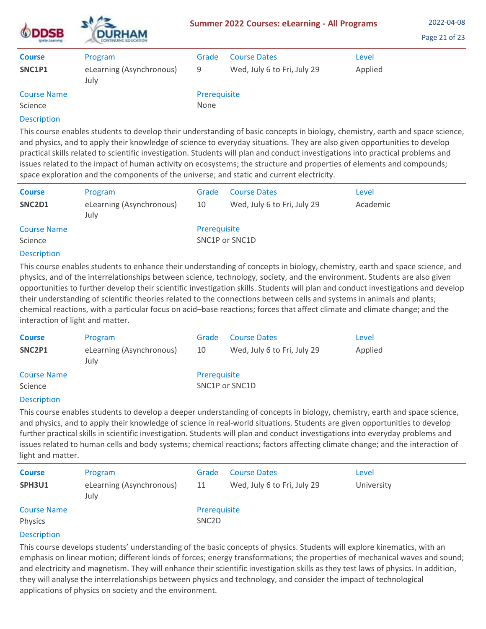| <b>ODDSB</b><br>Ignite Learning | <b>DURHAM</b><br>CONTINUING EDUCATION       | <b>Summer 2022 Courses: eLearning - All Programs</b> |                                                    |                  | 2022-04-08<br>Page 21 of 23 |
|---------------------------------|---------------------------------------------|------------------------------------------------------|----------------------------------------------------|------------------|-----------------------------|
| <b>Course</b><br>SNC1P1         | Program<br>eLearning (Asynchronous)<br>July | Grade<br>9                                           | <b>Course Dates</b><br>Wed, July 6 to Fri, July 29 | Level<br>Applied |                             |
| <b>Course Name</b><br>Science   |                                             | Prerequisite<br>None                                 |                                                    |                  |                             |

This course enables students to develop their understanding of basic concepts in biology, chemistry, earth and space science, and physics, and to apply their knowledge of science to everyday situations. They are also given opportunities to develop practical skills related to scientific investigation. Students will plan and conduct investigations into practical problems and issues related to the impact of human activity on ecosystems; the structure and properties of elements and compounds; space exploration and the components of the universe; and static and current electricity.

| <b>Course</b><br>SNC2D1       | Program<br>eLearning (Asynchronous)<br>July | Grade<br>10                    | <b>Course Dates</b><br>Wed, July 6 to Fri, July 29 | Level<br>Academic |
|-------------------------------|---------------------------------------------|--------------------------------|----------------------------------------------------|-------------------|
| <b>Course Name</b><br>Science |                                             | Prerequisite<br>SNC1P or SNC1D |                                                    |                   |

#### Description

This course enables students to enhance their understanding of concepts in biology, chemistry, earth and space science, and physics, and of the interrelationships between science, technology, society, and the environment. Students are also given opportunities to further develop their scientific investigation skills. Students will plan and conduct investigations and develop their understanding of scientific theories related to the connections between cells and systems in animals and plants; chemical reactions, with a particular focus on acid–base reactions; forces that affect climate and climate change; and the interaction of light and matter.

| <b>Course</b>                         | Program                          | Grade        | <b>Course Dates</b>         | Level   |
|---------------------------------------|----------------------------------|--------------|-----------------------------|---------|
| SNC2P1                                | eLearning (Asynchronous)<br>July | 10           | Wed, July 6 to Fri, July 29 | Applied |
| <b>Course Name</b>                    |                                  | Prerequisite |                             |         |
| Science                               |                                  |              | SNC1P or SNC1D              |         |
| and the second contract of the second |                                  |              |                             |         |

#### **Description**

This course enables students to develop a deeper understanding of concepts in biology, chemistry, earth and space science, and physics, and to apply their knowledge of science in real-world situations. Students are given opportunities to develop further practical skills in scientific investigation. Students will plan and conduct investigations into everyday problems and issues related to human cells and body systems; chemical reactions; factors affecting climate change; and the interaction of light and matter.

| <b>Course</b><br>SPH3U1       | Program<br>eLearning (Asynchronous)<br>July | Grade<br>11                        | <b>Course Dates</b><br>Wed, July 6 to Fri, July 29 | Level<br>University |
|-------------------------------|---------------------------------------------|------------------------------------|----------------------------------------------------|---------------------|
| <b>Course Name</b><br>Physics |                                             | Prerequisite<br>SNC <sub>2</sub> D |                                                    |                     |

## **Description**

This course develops students' understanding of the basic concepts of physics. Students will explore kinematics, with an emphasis on linear motion; different kinds of forces; energy transformations; the properties of mechanical waves and sound; and electricity and magnetism. They will enhance their scientific investigation skills as they test laws of physics. In addition, they will analyse the interrelationships between physics and technology, and consider the impact of technological applications of physics on society and the environment.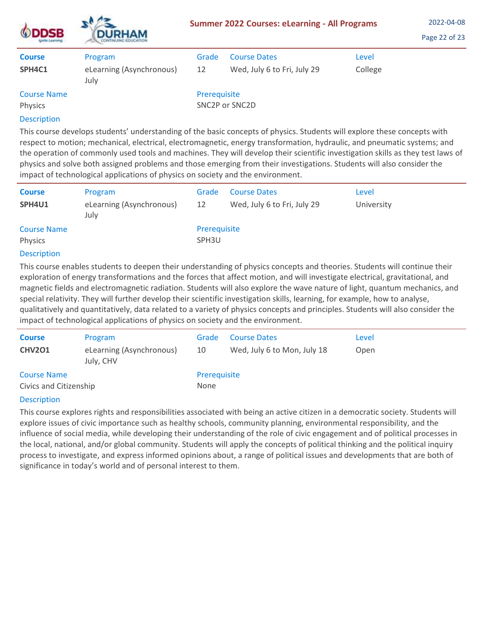| <b>DSB</b><br>Ignite Learning<br><b>Course</b> | <b>DURHAM</b><br><b>CONTINUING EDUCATION</b> | <b>Summer 2022 Courses: eLearning - All Programs</b> | 2022-04-08<br>Page 22 of 23 |         |  |
|------------------------------------------------|----------------------------------------------|------------------------------------------------------|-----------------------------|---------|--|
|                                                | Program                                      | Grade                                                | <b>Course Dates</b>         | Level   |  |
| SPH4C1                                         | eLearning (Asynchronous)<br>July             | 12                                                   | Wed, July 6 to Fri, July 29 | College |  |
| <b>Course Name</b><br>Physics                  |                                              | Prerequisite                                         | SNC2P or SNC2D              |         |  |
| <b>Doccription</b>                             |                                              |                                                      |                             |         |  |

 $\mathbf{A}$ 

This course develops students' understanding of the basic concepts of physics. Students will explore these concepts with respect to motion; mechanical, electrical, electromagnetic, energy transformation, hydraulic, and pneumatic systems; and the operation of commonly used tools and machines. They will develop their scientific investigation skills as they test laws of physics and solve both assigned problems and those emerging from their investigations. Students will also consider the impact of technological applications of physics on society and the environment.

| <b>Course</b>                 | Program                          | Grade                             | <b>Course Dates</b>         | Level      |
|-------------------------------|----------------------------------|-----------------------------------|-----------------------------|------------|
| SPH4U1                        | eLearning (Asynchronous)<br>July | 12                                | Wed, July 6 to Fri, July 29 | University |
| <b>Course Name</b><br>Physics |                                  | Prerequisite<br>SPH <sub>3U</sub> |                             |            |

## Description

This course enables students to deepen their understanding of physics concepts and theories. Students will continue their exploration of energy transformations and the forces that affect motion, and will investigate electrical, gravitational, and magnetic fields and electromagnetic radiation. Students will also explore the wave nature of light, quantum mechanics, and special relativity. They will further develop their scientific investigation skills, learning, for example, how to analyse, qualitatively and quantitatively, data related to a variety of physics concepts and principles. Students will also consider the impact of technological applications of physics on society and the environment.

| <b>Course</b>          | Program                               | Grade        | <b>Course Dates</b>         | Level |
|------------------------|---------------------------------------|--------------|-----------------------------|-------|
| <b>CHV201</b>          | eLearning (Asynchronous)<br>July, CHV | 10           | Wed, July 6 to Mon, July 18 | Open  |
| <b>Course Name</b>     |                                       | Prerequisite |                             |       |
| Civics and Citizenship |                                       | None         |                             |       |
|                        |                                       |              |                             |       |

## **Description**

This course explores rights and responsibilities associated with being an active citizen in a democratic society. Students will explore issues of civic importance such as healthy schools, community planning, environmental responsibility, and the influence of social media, while developing their understanding of the role of civic engagement and of political processes in the local, national, and/or global community. Students will apply the concepts of political thinking and the political inquiry process to investigate, and express informed opinions about, a range of political issues and developments that are both of significance in today's world and of personal interest to them.